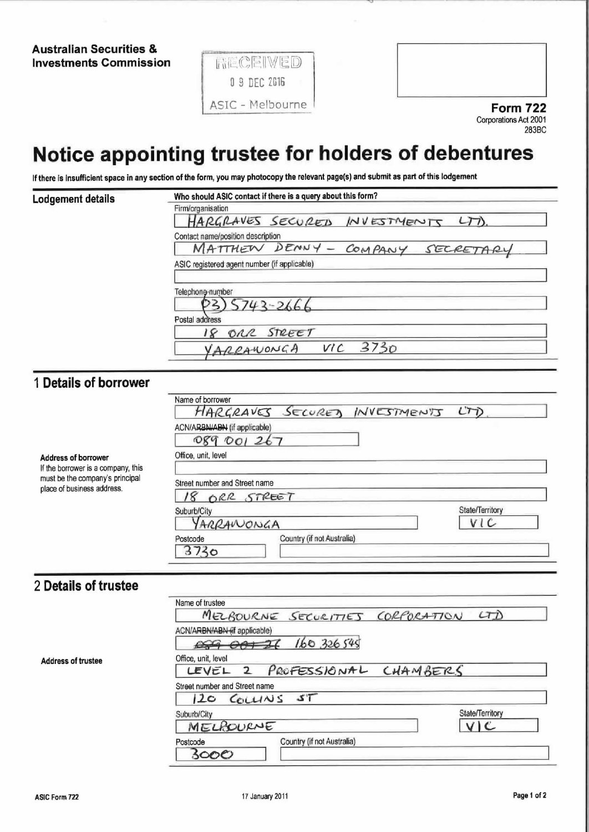**Australian Securities & Investments Commission** 





## Notice appointing trustee for holders of debentures

If there is insufficient space in any section of the form, you may photocopy the relevant page(s) and submit as part of this lodgement

| Lodgement details | Who should ASIC contact if there is a query about this form? |  |  |  |  |
|-------------------|--------------------------------------------------------------|--|--|--|--|
|                   | Firm/organisation                                            |  |  |  |  |
|                   | HARGRAVES SECURED INVESTMENTS LTD                            |  |  |  |  |
|                   | Contact name/position description                            |  |  |  |  |
|                   | MATTHEW DENNY - COMPANY SECRETARY                            |  |  |  |  |
|                   | ASIC registered agent number (if applicable)                 |  |  |  |  |
|                   | Telephone-number                                             |  |  |  |  |
|                   | $5743 - 2666$                                                |  |  |  |  |
|                   | Postal address                                               |  |  |  |  |
|                   | ORR STREET                                                   |  |  |  |  |
|                   | YARRAWONGA VIC<br>3730                                       |  |  |  |  |

## 1 Details of borrower

Address of borrower If the borrower is a company, this must be the company's principal place of business address.

|                               | HARGRAVES SECURED INVESTMENTS LTD |  |     |
|-------------------------------|-----------------------------------|--|-----|
| ACN/ARBN/ABN (if applicable)  |                                   |  |     |
| 089 001 267                   |                                   |  |     |
| Office, unit, level           |                                   |  |     |
|                               |                                   |  |     |
| Street number and Street name |                                   |  |     |
| ORR STREET                    |                                   |  |     |
|                               | State/Territory                   |  |     |
| Suburb/City                   |                                   |  |     |
| YARRANONGA                    |                                   |  | V C |

## 2 Details of trustee

**Address of trustee** 

| Name of trustee                        |
|----------------------------------------|
| MELBOURNE SECURITIES CORPORATION LTD   |
| ACN/ARBN/ABN-(if applicable)           |
| 160326545<br>00900720                  |
| Office, unit, level                    |
| LEVEL 2 PROFESSIONAL CHAMBERS          |
| Street number and Street name          |
| 120 COLLINS ST                         |
| State/Territory<br>Suburb/City         |
| MELROURNE<br>V C                       |
| Country (if not Australia)<br>Postcode |
| కెంంల                                  |